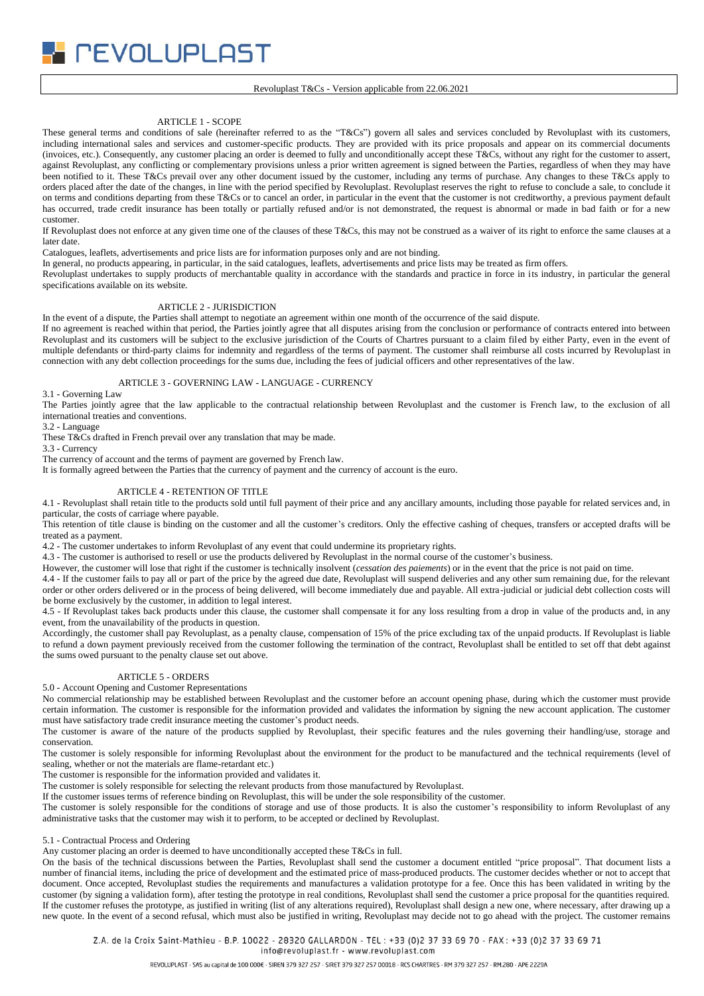*PEVOLUPLAST* 

#### Revoluplast T&Cs - Version applicable from 22.06.2021

## ARTICLE 1 - SCOPE

These general terms and conditions of sale (hereinafter referred to as the "T&Cs") govern all sales and services concluded by Revoluplast with its customers, including international sales and services and customer-specific products. They are provided with its price proposals and appear on its commercial documents (invoices, etc.). Consequently, any customer placing an order is deemed to fully and unconditionally accept these T&Cs, without any right for the customer to assert, against Revoluplast, any conflicting or complementary provisions unless a prior written agreement is signed between the Parties, regardless of when they may have been notified to it. These T&Cs prevail over any other document issued by the customer, including any terms of purchase. Any changes to these T&Cs apply to orders placed after the date of the changes, in line with the period specified by Revoluplast. Revoluplast reserves the right to refuse to conclude a sale, to conclude it on terms and conditions departing from these T&Cs or to cancel an order, in particular in the event that the customer is not creditworthy, a previous payment default has occurred, trade credit insurance has been totally or partially refused and/or is not demonstrated, the request is abnormal or made in bad faith or for a new customer.

If Revoluplast does not enforce at any given time one of the clauses of these T&Cs, this may not be construed as a waiver of its right to enforce the same clauses at a later date.

Catalogues, leaflets, advertisements and price lists are for information purposes only and are not binding.

In general, no products appearing, in particular, in the said catalogues, leaflets, advertisements and price lists may be treated as firm offers.

Revoluplast undertakes to supply products of merchantable quality in accordance with the standards and practice in force in its industry, in particular the general specifications available on its website.

# ARTICLE 2 - JURISDICTION

In the event of a dispute, the Parties shall attempt to negotiate an agreement within one month of the occurrence of the said dispute.

If no agreement is reached within that period, the Parties jointly agree that all disputes arising from the conclusion or performance of contracts entered into between Revoluplast and its customers will be subject to the exclusive jurisdiction of the Courts of Chartres pursuant to a claim filed by either Party, even in the event of multiple defendants or third-party claims for indemnity and regardless of the terms of payment. The customer shall reimburse all costs incurred by Revoluplast in connection with any debt collection proceedings for the sums due, including the fees of judicial officers and other representatives of the law.

### ARTICLE 3 - GOVERNING LAW - LANGUAGE - CURRENCY

3.1 - Governing Law

The Parties jointly agree that the law applicable to the contractual relationship between Revoluplast and the customer is French law, to the exclusion of all international treaties and conventions.

3.2 - Language

These T&Cs drafted in French prevail over any translation that may be made.

3.3 - Currency

The currency of account and the terms of payment are governed by French law.

It is formally agreed between the Parties that the currency of payment and the currency of account is the euro.

### ARTICLE 4 - RETENTION OF TITLE

4.1 - Revoluplast shall retain title to the products sold until full payment of their price and any ancillary amounts, including those payable for related services and, in particular, the costs of carriage where payable.

This retention of title clause is binding on the customer and all the customer's creditors. Only the effective cashing of cheques, transfers or accepted drafts will be treated as a payment.

4.2 - The customer undertakes to inform Revoluplast of any event that could undermine its proprietary rights.

4.3 - The customer is authorised to resell or use the products delivered by Revoluplast in the normal course of the customer's business.

However, the customer will lose that right if the customer is technically insolvent (*cessation des paiements*) or in the event that the price is not paid on time.

4.4 - If the customer fails to pay all or part of the price by the agreed due date, Revoluplast will suspend deliveries and any other sum remaining due, for the relevant order or other orders delivered or in the process of being delivered, will become immediately due and payable. All extra-judicial or judicial debt collection costs will be borne exclusively by the customer, in addition to legal interest.

4.5 - If Revoluplast takes back products under this clause, the customer shall compensate it for any loss resulting from a drop in value of the products and, in any event, from the unavailability of the products in question.

Accordingly, the customer shall pay Revoluplast, as a penalty clause, compensation of 15% of the price excluding tax of the unpaid products. If Revoluplast is liable to refund a down payment previously received from the customer following the termination of the contract, Revoluplast shall be entitled to set off that debt against the sums owed pursuant to the penalty clause set out above.

### ARTICLE 5 - ORDERS

5.0 - Account Opening and Customer Representations

No commercial relationship may be established between Revoluplast and the customer before an account opening phase, during which the customer must provide certain information. The customer is responsible for the information provided and validates the information by signing the new account application. The customer must have satisfactory trade credit insurance meeting the customer's product needs.

The customer is aware of the nature of the products supplied by Revoluplast, their specific features and the rules governing their handling/use, storage and conservation.

The customer is solely responsible for informing Revoluplast about the environment for the product to be manufactured and the technical requirements (level of sealing, whether or not the materials are flame-retardant etc.)

The customer is responsible for the information provided and validates it.

The customer is solely responsible for selecting the relevant products from those manufactured by Revoluplast.

If the customer issues terms of reference binding on Revoluplast, this will be under the sole responsibility of the customer.

The customer is solely responsible for the conditions of storage and use of those products. It is also the customer's responsibility to inform Revoluplast of any administrative tasks that the customer may wish it to perform, to be accepted or declined by Revoluplast.

#### 5.1 - Contractual Process and Ordering

Any customer placing an order is deemed to have unconditionally accepted these T&Cs in full.

On the basis of the technical discussions between the Parties, Revoluplast shall send the customer a document entitled "price proposal". That document lists a number of financial items, including the price of development and the estimated price of mass-produced products. The customer decides whether or not to accept that document. Once accepted, Revoluplast studies the requirements and manufactures a validation prototype for a fee. Once this has been validated in writing by the customer (by signing a validation form), after testing the prototype in real conditions, Revoluplast shall send the customer a price proposal for the quantities required. If the customer refuses the prototype, as justified in writing (list of any alterations required), Revoluplast shall design a new one, where necessary, after drawing up a new quote. In the event of a second refusal, which must also be justified in writing, Revoluplast may decide not to go ahead with the project. The customer remains

Z.A. de la Croix Saint-Mathieu - B.P. 10022 - 28320 GALLARDON - TEL : +33 (0)2 37 33 69 70 - FAX : +33 (0)2 37 33 69 71

info@revoluplast.fr - www.revoluplast.com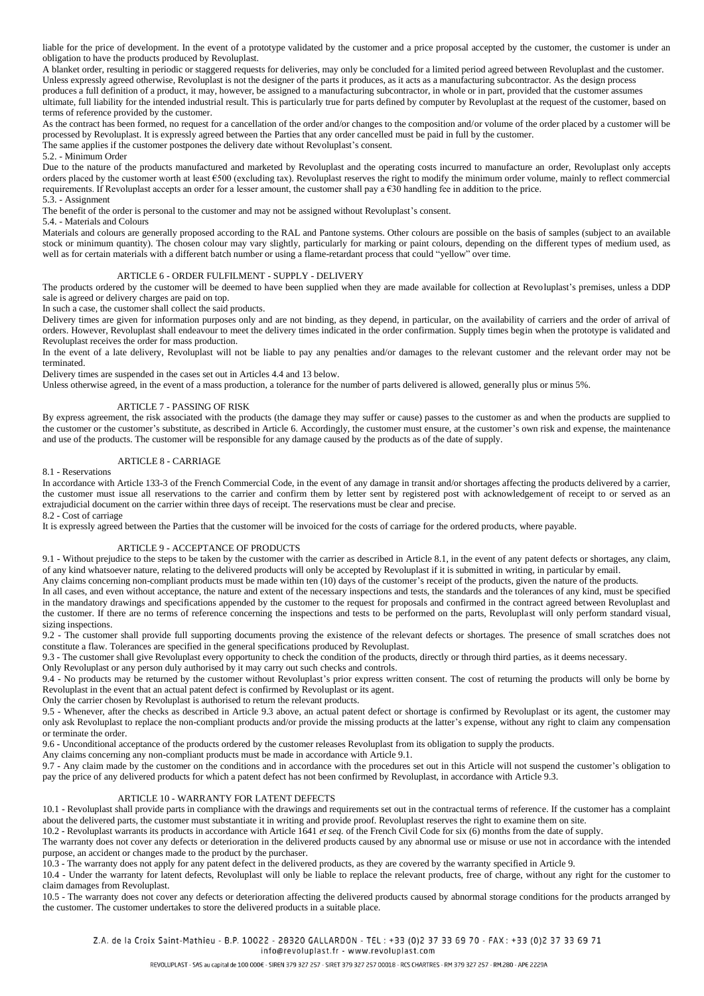liable for the price of development. In the event of a prototype validated by the customer and a price proposal accepted by the customer, the customer is under an obligation to have the products produced by Revoluplast.

A blanket order, resulting in periodic or staggered requests for deliveries, may only be concluded for a limited period agreed between Revoluplast and the customer. Unless expressly agreed otherwise, Revoluplast is not the designer of the parts it produces, as it acts as a manufacturing subcontractor. As the design process

produces a full definition of a product, it may, however, be assigned to a manufacturing subcontractor, in whole or in part, provided that the customer assumes ultimate, full liability for the intended industrial result. This is particularly true for parts defined by computer by Revoluplast at the request of the customer, based on terms of reference provided by the customer.

As the contract has been formed, no request for a cancellation of the order and/or changes to the composition and/or volume of the order placed by a customer will be processed by Revoluplast. It is expressly agreed between the Parties that any order cancelled must be paid in full by the customer.

The same applies if the customer postpones the delivery date without Revoluplast's consent.

5.2. - Minimum Order

Due to the nature of the products manufactured and marketed by Revoluplast and the operating costs incurred to manufacture an order, Revoluplast only accepts orders placed by the customer worth at least  $\epsilon$ 500 (excluding tax). Revoluplast reserves the right to modify the minimum order volume, mainly to reflect commercial requirements. If Revoluplast accepts an order for a lesser amount, the customer shall pay a  $630$  handling fee in addition to the price. 5.3. - Assignment

The benefit of the order is personal to the customer and may not be assigned without Revoluplast's consent.

### 5.4. - Materials and Colours

Materials and colours are generally proposed according to the RAL and Pantone systems. Other colours are possible on the basis of samples (subject to an available stock or minimum quantity). The chosen colour may vary slightly, particularly for marking or paint colours, depending on the different types of medium used, as well as for certain materials with a different batch number or using a flame-retardant process that could "yellow" over time.

#### ARTICLE 6 - ORDER FULFILMENT - SUPPLY - DELIVERY

The products ordered by the customer will be deemed to have been supplied when they are made available for collection at Revoluplast's premises, unless a DDP sale is agreed or delivery charges are paid on top.

In such a case, the customer shall collect the said products.

Delivery times are given for information purposes only and are not binding, as they depend, in particular, on the availability of carriers and the order of arrival of orders. However, Revoluplast shall endeavour to meet the delivery times indicated in the order confirmation. Supply times begin when the prototype is validated and Revoluplast receives the order for mass production.

In the event of a late delivery, Revoluplast will not be liable to pay any penalties and/or damages to the relevant customer and the relevant order may not be terminated.

Delivery times are suspended in the cases set out in Articles 4.4 and 13 below.

Unless otherwise agreed, in the event of a mass production, a tolerance for the number of parts delivered is allowed, generally plus or minus 5%.

#### ARTICLE 7 - PASSING OF RISK

By express agreement, the risk associated with the products (the damage they may suffer or cause) passes to the customer as and when the products are supplied to the customer or the customer's substitute, as described in Article 6. Accordingly, the customer must ensure, at the customer's own risk and expense, the maintenance and use of the products. The customer will be responsible for any damage caused by the products as of the date of supply.

#### ARTICLE 8 - CARRIAGE

### 8.1 - Reservations

In accordance with Article 133-3 of the French Commercial Code, in the event of any damage in transit and/or shortages affecting the products delivered by a carrier, the customer must issue all reservations to the carrier and confirm them by letter sent by registered post with acknowledgement of receipt to or served as an extrajudicial document on the carrier within three days of receipt. The reservations must be clear and precise. 8.2 - Cost of carriage

It is expressly agreed between the Parties that the customer will be invoiced for the costs of carriage for the ordered products, where payable.

### ARTICLE 9 - ACCEPTANCE OF PRODUCTS

9.1 - Without prejudice to the steps to be taken by the customer with the carrier as described in Article 8.1, in the event of any patent defects or shortages, any claim, of any kind whatsoever nature, relating to the delivered products will only be accepted by Revoluplast if it is submitted in writing, in particular by email.

Any claims concerning non-compliant products must be made within ten (10) days of the customer's receipt of the products, given the nature of the products.

In all cases, and even without acceptance, the nature and extent of the necessary inspections and tests, the standards and the tolerances of any kind, must be specified in the mandatory drawings and specifications appended by the customer to the request for proposals and confirmed in the contract agreed between Revoluplast and the customer. If there are no terms of reference concerning the inspections and tests to be performed on the parts, Revoluplast will only perform standard visual, sizing inspections.

9.2 - The customer shall provide full supporting documents proving the existence of the relevant defects or shortages. The presence of small scratches does not constitute a flaw. Tolerances are specified in the general specifications produced by Revoluplast.

9.3 - The customer shall give Revoluplast every opportunity to check the condition of the products, directly or through third parties, as it deems necessary.

Only Revoluplast or any person duly authorised by it may carry out such checks and controls.

9.4 - No products may be returned by the customer without Revoluplast's prior express written consent. The cost of returning the products will only be borne by Revoluplast in the event that an actual patent defect is confirmed by Revoluplast or its agent.

Only the carrier chosen by Revoluplast is authorised to return the relevant products.

9.5 - Whenever, after the checks as described in Article 9.3 above, an actual patent defect or shortage is confirmed by Revoluplast or its agent, the customer may only ask Revoluplast to replace the non-compliant products and/or provide the missing products at the latter's expense, without any right to claim any compensation or terminate the order.

9.6 - Unconditional acceptance of the products ordered by the customer releases Revoluplast from its obligation to supply the products.

Any claims concerning any non-compliant products must be made in accordance with Article 9.1.

9.7 - Any claim made by the customer on the conditions and in accordance with the procedures set out in this Article will not suspend the customer's obligation to pay the price of any delivered products for which a patent defect has not been confirmed by Revoluplast, in accordance with Article 9.3.

### ARTICLE 10 - WARRANTY FOR LATENT DEFECTS

10.1 - Revoluplast shall provide parts in compliance with the drawings and requirements set out in the contractual terms of reference. If the customer has a complaint about the delivered parts, the customer must substantiate it in writing and provide proof. Revoluplast reserves the right to examine them on site.

10.2 - Revoluplast warrants its products in accordance with Article 1641 *et seq.* of the French Civil Code for six (6) months from the date of supply.

The warranty does not cover any defects or deterioration in the delivered products caused by any abnormal use or misuse or use not in accordance with the intended purpose, an accident or changes made to the product by the purchaser.

10.3 - The warranty does not apply for any patent defect in the delivered products, as they are covered by the warranty specified in Article 9.

10.4 - Under the warranty for latent defects, Revoluplast will only be liable to replace the relevant products, free of charge, without any right for the customer to claim damages from Revoluplast.

10.5 - The warranty does not cover any defects or deterioration affecting the delivered products caused by abnormal storage conditions for the products arranged by the customer. The customer undertakes to store the delivered products in a suitable place.

Z.A. de la Croix Saint-Mathieu - B.P. 10022 - 28320 GALLARDON - TEL : +33 (0)2 37 33 69 70 - FAX: +33 (0)2 37 33 69 71 info@revoluplast.fr - www.revoluplast.com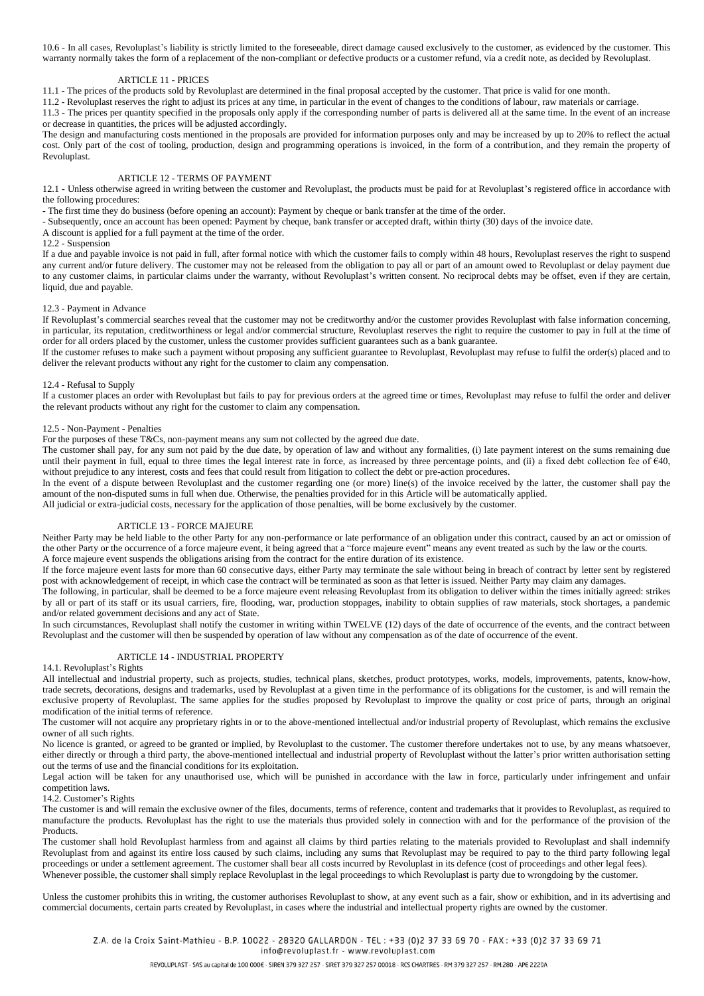10.6 - In all cases, Revoluplast's liability is strictly limited to the foreseeable, direct damage caused exclusively to the customer, as evidenced by the customer. This warranty normally takes the form of a replacement of the non-compliant or defective products or a customer refund, via a credit note, as decided by Revoluplast.

#### ARTICLE 11 - PRICES

11.1 - The prices of the products sold by Revoluplast are determined in the final proposal accepted by the customer. That price is valid for one month.

11.2 - Revoluplast reserves the right to adjust its prices at any time, in particular in the event of changes to the conditions of labour, raw materials or carriage. 11.3 - The prices per quantity specified in the proposals only apply if the corresponding number of parts is delivered all at the same time. In the event of an increase

or decrease in quantities, the prices will be adjusted accordingly.

The design and manufacturing costs mentioned in the proposals are provided for information purposes only and may be increased by up to 20% to reflect the actual cost. Only part of the cost of tooling, production, design and programming operations is invoiced, in the form of a contribution, and they remain the property of Revoluplast.

# ARTICLE 12 - TERMS OF PAYMENT

12.1 - Unless otherwise agreed in writing between the customer and Revoluplast, the products must be paid for at Revoluplast's registered office in accordance with the following procedures:

- The first time they do business (before opening an account): Payment by cheque or bank transfer at the time of the order.

- Subsequently, once an account has been opened: Payment by cheque, bank transfer or accepted draft, within thirty (30) days of the invoice date.

A discount is applied for a full payment at the time of the order.

### $12.2 -$  Suspension

If a due and payable invoice is not paid in full, after formal notice with which the customer fails to comply within 48 hours, Revoluplast reserves the right to suspend any current and/or future delivery. The customer may not be released from the obligation to pay all or part of an amount owed to Revoluplast or delay payment due to any customer claims, in particular claims under the warranty, without Revoluplast's written consent. No reciprocal debts may be offset, even if they are certain, liquid, due and payable.

### 12.3 - Payment in Advance

If Revoluplast's commercial searches reveal that the customer may not be creditworthy and/or the customer provides Revoluplast with false information concerning, in particular, its reputation, creditworthiness or legal and/or commercial structure, Revoluplast reserves the right to require the customer to pay in full at the time of order for all orders placed by the customer, unless the customer provides sufficient guarantees such as a bank guarantee.

If the customer refuses to make such a payment without proposing any sufficient guarantee to Revoluplast, Revoluplast may refuse to fulfil the order(s) placed and to deliver the relevant products without any right for the customer to claim any compensation.

### 12.4 - Refusal to Supply

If a customer places an order with Revoluplast but fails to pay for previous orders at the agreed time or times, Revoluplast may refuse to fulfil the order and deliver the relevant products without any right for the customer to claim any compensation.

#### 12.5 - Non-Payment - Penalties

For the purposes of these T&Cs, non-payment means any sum not collected by the agreed due date.

The customer shall pay, for any sum not paid by the due date, by operation of law and without any formalities, (i) late payment interest on the sums remaining due until their payment in full, equal to three times the legal interest rate in force, as increased by three percentage points, and (ii) a fixed debt collection fee of  $\epsilon$ 40, without prejudice to any interest, costs and fees that could result from litigation to collect the debt or pre-action procedures.

In the event of a dispute between Revoluplast and the customer regarding one (or more) line(s) of the invoice received by the latter, the customer shall pay the amount of the non-disputed sums in full when due. Otherwise, the penalties provided for in this Article will be automatically applied.

All judicial or extra-judicial costs, necessary for the application of those penalties, will be borne exclusively by the customer.

#### ARTICLE 13 - FORCE MAJEURE

Neither Party may be held liable to the other Party for any non-performance or late performance of an obligation under this contract, caused by an act or omission of the other Party or the occurrence of a force majeure event, it being agreed that a "force majeure event" means any event treated as such by the law or the courts. A force majeure event suspends the obligations arising from the contract for the entire duration of its existence.

If the force majeure event lasts for more than 60 consecutive days, either Party may terminate the sale without being in breach of contract by letter sent by registered post with acknowledgement of receipt, in which case the contract will be terminated as soon as that letter is issued. Neither Party may claim any damages.

The following, in particular, shall be deemed to be a force majeure event releasing Revoluplast from its obligation to deliver within the times initially agreed: strikes by all or part of its staff or its usual carriers, fire, flooding, war, production stoppages, inability to obtain supplies of raw materials, stock shortages, a pandemic and/or related government decisions and any act of State.

In such circumstances, Revoluplast shall notify the customer in writing within TWELVE (12) days of the date of occurrence of the events, and the contract between Revoluplast and the customer will then be suspended by operation of law without any compensation as of the date of occurrence of the event.

### ARTICLE 14 - INDUSTRIAL PROPERTY

## 14.1. Revoluplast's Rights

All intellectual and industrial property, such as projects, studies, technical plans, sketches, product prototypes, works, models, improvements, patents, know-how, trade secrets, decorations, designs and trademarks, used by Revoluplast at a given time in the performance of its obligations for the customer, is and will remain the exclusive property of Revoluplast. The same applies for the studies proposed by Revoluplast to improve the quality or cost price of parts, through an original modification of the initial terms of reference.

The customer will not acquire any proprietary rights in or to the above-mentioned intellectual and/or industrial property of Revoluplast, which remains the exclusive owner of all such rights.

No licence is granted, or agreed to be granted or implied, by Revoluplast to the customer. The customer therefore undertakes not to use, by any means whatsoever, either directly or through a third party, the above-mentioned intellectual and industrial property of Revoluplast without the latter's prior written authorisation setting out the terms of use and the financial conditions for its exploitation.

Legal action will be taken for any unauthorised use, which will be punished in accordance with the law in force, particularly under infringement and unfair competition laws.

### 14.2. Customer's Rights

The customer is and will remain the exclusive owner of the files, documents, terms of reference, content and trademarks that it provides to Revoluplast, as required to manufacture the products. Revoluplast has the right to use the materials thus provided solely in connection with and for the performance of the provision of the **Products** 

The customer shall hold Revoluplast harmless from and against all claims by third parties relating to the materials provided to Revoluplast and shall indemnify Revoluplast from and against its entire loss caused by such claims, including any sums that Revoluplast may be required to pay to the third party following legal proceedings or under a settlement agreement. The customer shall bear all costs incurred by Revoluplast in its defence (cost of proceedings and other legal fees). Whenever possible, the customer shall simply replace Revoluplast in the legal proceedings to which Revoluplast is party due to wrongdoing by the customer.

Unless the customer prohibits this in writing, the customer authorises Revoluplast to show, at any event such as a fair, show or exhibition, and in its advertising and commercial documents, certain parts created by Revoluplast, in cases where the industrial and intellectual property rights are owned by the customer.

Z.A. de la Croix Saint-Mathieu - B.P. 10022 - 28320 GALLARDON - TEL : +33 (0)2 37 33 69 70 - FAX: +33 (0)2 37 33 69 71 info@revoluplast.fr - www.revoluplast.com

REVOLUPLAST - SAS au capital de 100 000€ - SIREN 379 327 257 - SIRET 379 327 257 00018 - RCS CHARTRES - RM 379 327 257 - RM.280 - APE 2229A